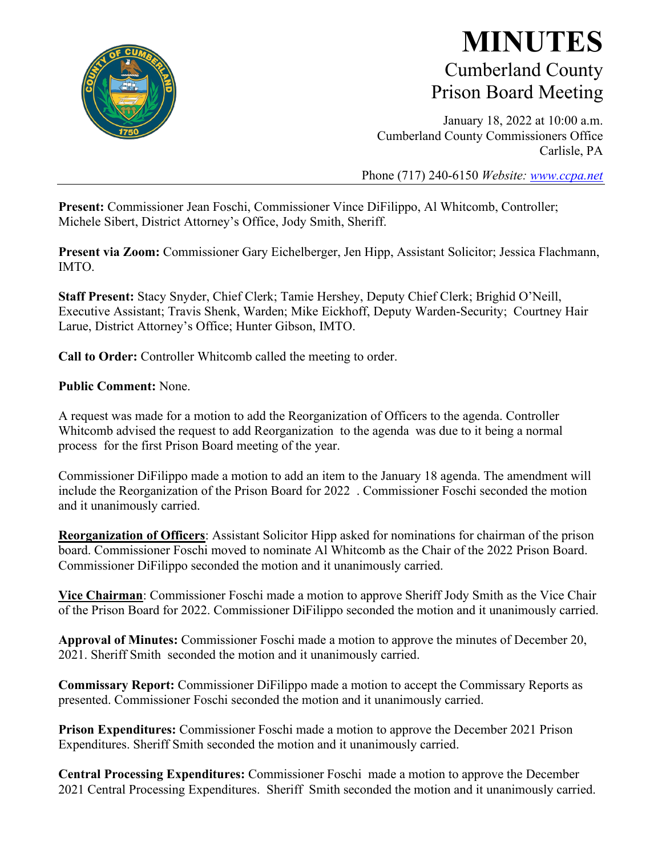

# **MINUTES** Cumberland County Prison Board Meeting

January 18, 2022 at 10:00 a.m. Cumberland County Commissioners Office Carlisle, PA

Phone (717) 240-6150 *Website: [www.ccpa.net](http://www.ccpa.net/)*

**Present:** Commissioner Jean Foschi, Commissioner Vince DiFilippo, Al Whitcomb, Controller; Michele Sibert, District Attorney's Office, Jody Smith, Sheriff.

**Present via Zoom:** Commissioner Gary Eichelberger, Jen Hipp, Assistant Solicitor; Jessica Flachmann, IMTO.

**Staff Present:** Stacy Snyder, Chief Clerk; Tamie Hershey, Deputy Chief Clerk; Brighid O'Neill, Executive Assistant; Travis Shenk, Warden; Mike Eickhoff, Deputy Warden-Security; Courtney Hair Larue, District Attorney's Office; Hunter Gibson, IMTO.

**Call to Order:** Controller Whitcomb called the meeting to order.

**Public Comment:** None.

A request was made for a motion to add the Reorganization of Officers to the agenda. Controller Whitcomb advised the request to add Reorganization to the agenda was due to it being a normal process for the first Prison Board meeting of the year.

Commissioner DiFilippo made a motion to add an item to the January 18 agenda. The amendment will include the Reorganization of the Prison Board for 2022 . Commissioner Foschi seconded the motion and it unanimously carried.

**Reorganization of Officers**: Assistant Solicitor Hipp asked for nominations for chairman of the prison board. Commissioner Foschi moved to nominate Al Whitcomb as the Chair of the 2022 Prison Board. Commissioner DiFilippo seconded the motion and it unanimously carried.

**Vice Chairman**: Commissioner Foschi made a motion to approve Sheriff Jody Smith as the Vice Chair of the Prison Board for 2022. Commissioner DiFilippo seconded the motion and it unanimously carried.

**Approval of Minutes:** Commissioner Foschi made a motion to approve the minutes of December 20, 2021. Sheriff Smith seconded the motion and it unanimously carried.

**Commissary Report:** Commissioner DiFilippo made a motion to accept the Commissary Reports as presented. Commissioner Foschi seconded the motion and it unanimously carried.

**Prison Expenditures:** Commissioner Foschi made a motion to approve the December 2021 Prison Expenditures. Sheriff Smith seconded the motion and it unanimously carried.

**Central Processing Expenditures:** Commissioner Foschi made a motion to approve the December 2021 Central Processing Expenditures. Sheriff Smith seconded the motion and it unanimously carried.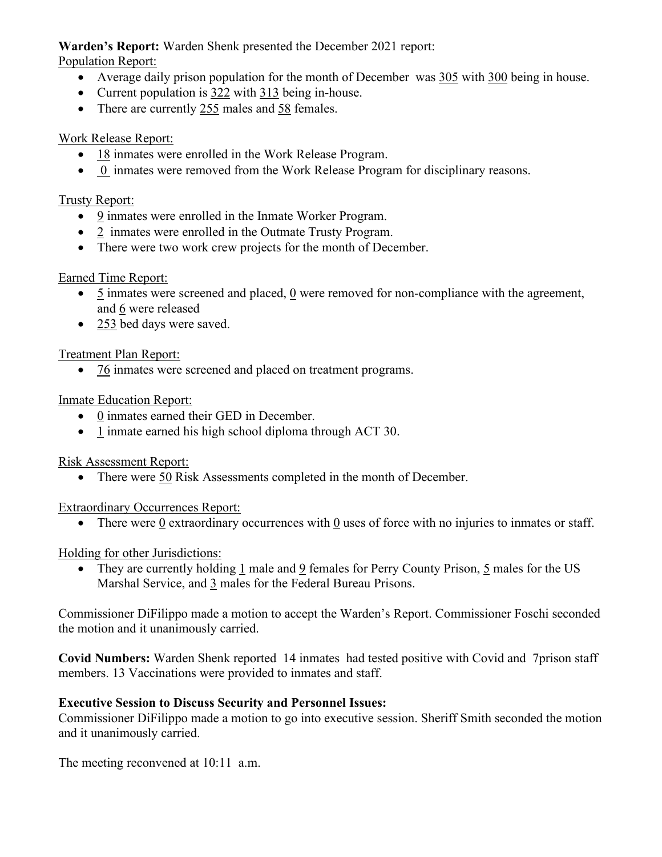# **Warden's Report:** Warden Shenk presented the December 2021 report:

Population Report:

- Average daily prison population for the month of December was 305 with 300 being in house.
- Current population is 322 with 313 being in-house.
- There are currently 255 males and 58 females.

#### Work Release Report:

- 18 inmates were enrolled in the Work Release Program.
- 0 inmates were removed from the Work Release Program for disciplinary reasons.

#### Trusty Report:

- 9 inmates were enrolled in the Inmate Worker Program.
- 2 inmates were enrolled in the Outmate Trusty Program.
- There were two work crew projects for the month of December.

# Earned Time Report:

- 5 inmates were screened and placed, 0 were removed for non-compliance with the agreement, and 6 were released
- 253 bed days were saved.

#### Treatment Plan Report:

• 76 inmates were screened and placed on treatment programs.

#### Inmate Education Report:

- 0 inmates earned their GED in December.
- 1 inmate earned his high school diploma through ACT 30.

# Risk Assessment Report:

• There were 50 Risk Assessments completed in the month of December.

#### Extraordinary Occurrences Report:

• There were  $\underline{0}$  extraordinary occurrences with  $\underline{0}$  uses of force with no injuries to inmates or staff.

# Holding for other Jurisdictions:

• They are currently holding 1 male and 9 females for Perry County Prison, 5 males for the US Marshal Service, and 3 males for the Federal Bureau Prisons.

Commissioner DiFilippo made a motion to accept the Warden's Report. Commissioner Foschi seconded the motion and it unanimously carried.

**Covid Numbers:** Warden Shenk reported 14 inmates had tested positive with Covid and 7prison staff members. 13 Vaccinations were provided to inmates and staff.

# **Executive Session to Discuss Security and Personnel Issues:**

Commissioner DiFilippo made a motion to go into executive session. Sheriff Smith seconded the motion and it unanimously carried.

The meeting reconvened at 10:11 a.m.